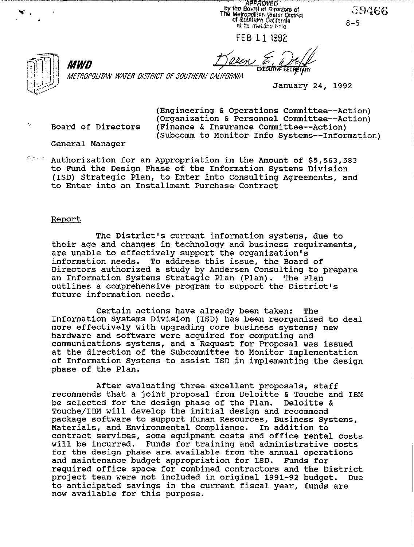**APPROVED** by the Board of Directors of<br>The Metropolitan Water District<br>of Squatism California at its macting held

**FEB 11 1992** 

ය9466  $8 - 5$ 



METROPOLITAN WATER DISTRICT OF SOUTHERN CALIFORNIA

January 24, 1992

*MWD* 

(Engineering & Operations Committee--Action) (Organization & Personnel Committee--Action)  $\sim$  Board of Directors (Finance & Insurance Committee--Action) (Subcomm to Monitor Info Systems--Information)

**EXECUTIVE SE** 

General Manager

 $%$ \*\*\*\* Authorization for an Appropriation in the Amount of \$5,563,583 to Fund the Design Phase of the Information Systems Division (ISD) Strategic Plan, to Enter into Consulting Agreements, and to Enter into an Installment Purchase Contract

#### Report

The District's current information systems, due to their age and changes in technology and business requirements, are unable to effectively support the organization's information needs. To address this issue, the Board of Directors authorized a study by Andersen Consulting to prepare an Information Systems Strategic Plan (Plan). The Plan outlines a comprehensive program to support the District's future information needs.

Certain actions have already been taken: The Information Systems Division (ISD) has been reorganized to deal more effectively with upgrading core business systems; new hardware and software were acquired for computing and communications systems, and a Request for Proposal was issued at the direction of the Subcommittee to Monitor Implementation of Information Systems to assist ISD in implementing the design phase of the Plan.

After evaluating three excellent proposals, staff recommends that a joint proposal from Deloitte & Touche and IBM be selected for the design phase of the Plan. Deloitte & Touche/IBM will develop the initial design and recommend package software to support Human Resources, Business Systems, Materials, and Environmental Compliance. In addition to contract services, some equipment costs and office rental costs will be incurred. Funds for training and administrative costs for the design phase are available from the annual operations and maintenance budget appropriation for ISD. Funds for required office space for combined contractors and the District<br>project team were not included in original 1991-92 budget. Due project team were not included in original 1991-92 budget. to anticipated savings in the current fiscal year, funds are now available for this purpose.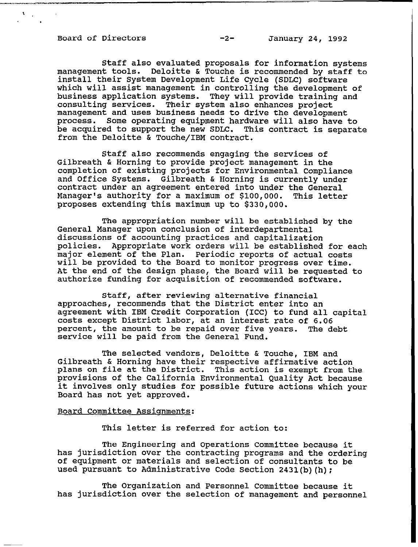Board of Directors -2- January 24, 1992

 $V_{\rm{max}}$ 

Staff also evaluated proposals for information systems management tools. Deloitte & Touche is recommended by staff to install their System Development Life Cycle (SDLC) software which will assist management in controlling the development of business application systems. They will provide training and consulting services. Their system also enhances project Their system also enhances project management and uses business needs to drive the development process. Some operating equipment hardware will also have to be acquired to support the new SDLC. This contract is separate from the Deloitte & Touche/IBM contract.

Staff also recommends engaging the services of Gilbreath & Horning to provide project management in the completion of existing projects for Environmental Compliance and Office Systems. Gilbreath & Horning is currently under contract under an agreement entered into under the General Manager's authority for a maximum of \$100,000. This letter proposes extending this maximum up to \$330,000.

The appropriation number will be established by the General Manager upon conclusion of interdepartmental discussions of accounting practices and capitalization policies. Appropriate work orders will be established for each major element of the Plan. Periodic reports of actual costs will be provided to the Board to monitor progress over time. At the end of the design phase, the Board will be requested to authorize funding for acquisition of recommended software.

Staff, after reviewing alternative financial approaches, recommends that the District enter into an agreement with IBM Credit Corporation (ICC) to fund all capital costs except District labor, at an interest rate of 6.06 percent, the amount to be repaid over five years. The debt service will be paid from the General Fund.

The selected vendors, Deloitte & Touche, IBM and Gilbreath & Horning have their respective affirmative action plans on file at the District. This action is exempt from the provisions of the California Environmental Quality Act because it involves only studies for possible future actions which your Board has not yet approved.

#### Board Committee Assignments:

This letter is referred for action to:

The Engineering and Operations Committee because it has jurisdiction over the contracting programs and the ordering of equipment or materials and selection of consultants to be used pursuant to Administrative Code Section 2431(b)(h);

The Organization and Personnel Committee because it has jurisdiction over the selection of management and personnel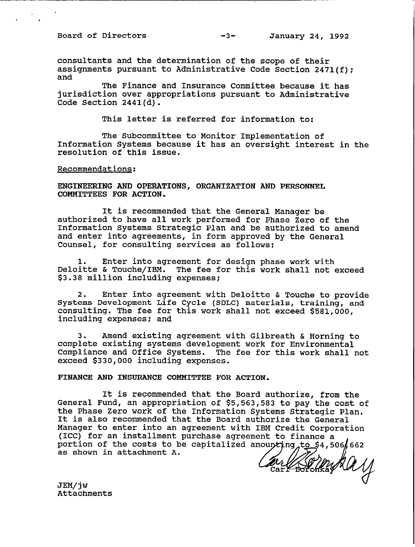**consultants and the determination of the scope of their assignments pursuant to Administrative Code Section 2471(f); and** 

**The Finance and Insurance Committee because it has jurisdiction over appropriations pursuant to Administrative Code Section 2441(d).** 

**This letter is referred for information to:** 

**The Subcommittee to Monitor Implementation of Information Systems because it has an oversight interest in the resolution of this issue.** 

**Recommendations:** 

**ENGINEERING AND OPERATIONS, ORGANIZATION AND PERSONNEL COMMITTEES FOR ACTION.** 

**It is recommended that the General Manager be authorized to have all work performed for Phase Zero of the Information Systems Strategic Plan and be authorized to amend and enter into agreements, in form approved by the General Counsel, for consulting services as follows:** 

**1. Enter into agreement for design phase work with Deloitte & Touche/IBM. The fee for this work shall not exceed \$3.38 million including expenses:** 

**2. Enter into agreement with Deloitte & Touche to provide Systems Development Life Cycle (SDLC) materials, training, and consulting. The fee for this work shall not exceed \$581,000, including expenses; and** 

**3. Amend existing agreement with Gilbreath & Horning to complete existing systems development work for Environmental Compliance and Office Systems. The fee for this work shall not exceed \$330,000 including expenses.** 

**FINANCE AND INSURANCE CONMITTEE FOR ACTION.** 

**It is recommended that the Board authorize, from the**  General Fund, an appropriation of \$5,563,583 to pay the cost of **the Phase Zero work of the Information Systems Strategic Plan. It is also recommended that the Board authorize the General Manager to enter into an agreement with IBM Credit Corporation (ICC) for an installment purchase agreement to finance a**  portion of the costs to be capitalized amounting to \$4,506,662 as shown in attachment A. **as shown in attachment A.** 

**JEM/jw Attachments**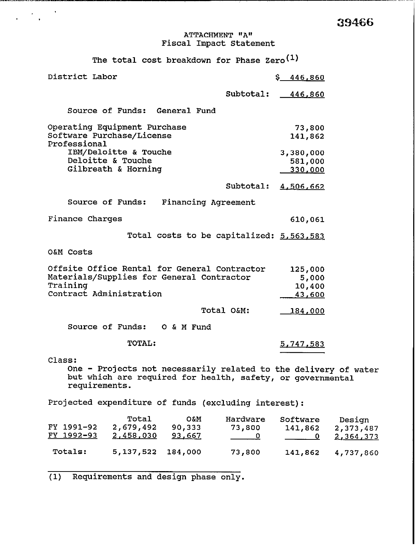## **ATTACHMENT "A" Fiscal Impact Statement**

The total cost breakdown for Phase Zero<sup>(1)</sup>

 $\label{eq:2} \frac{1}{2} \left( \frac{1}{2} \frac{1}{2} \frac{1}{2} \frac{1}{2} \right)^{2} \frac{1}{2} \left( \frac{1}{2} \frac{1}{2} \frac{1}{2} \right)^{2}$ 

| District Labor                                                                                                                                           |                                    | \$ 446,860                                        |                                  |  |
|----------------------------------------------------------------------------------------------------------------------------------------------------------|------------------------------------|---------------------------------------------------|----------------------------------|--|
|                                                                                                                                                          | Subtotal:                          | <u>446,860</u>                                    |                                  |  |
| Source of Funds: General Fund                                                                                                                            |                                    |                                                   |                                  |  |
| Operating Equipment Purchase<br>Software Purchase/License<br>Professional                                                                                |                                    | 73,800<br>141,862                                 |                                  |  |
| IBM/Deloitte & Touche<br>Deloitte & Touche<br>Gilbreath & Horning                                                                                        |                                    | 3,380,000<br>581,000<br>330,000                   |                                  |  |
|                                                                                                                                                          | Subtotal:                          | 4,506,662                                         |                                  |  |
| Source of Funds:                                                                                                                                         | Financing Agreement                |                                                   |                                  |  |
| Finance Charges                                                                                                                                          |                                    | 610,061                                           |                                  |  |
| Total costs to be capitalized: 5,563,583                                                                                                                 |                                    |                                                   |                                  |  |
| O&M Costs                                                                                                                                                |                                    |                                                   |                                  |  |
| Offsite Office Rental for General Contractor<br>Materials/Supplies for General Contractor<br>Training<br>Contract Administration                         |                                    | 125,000<br>5,000<br>10,400<br>43,600              |                                  |  |
|                                                                                                                                                          | Total O&M:                         | <u>184,000</u>                                    |                                  |  |
| Source of Funds: 0 & M Fund                                                                                                                              |                                    |                                                   |                                  |  |
| <b>TOTAL:</b>                                                                                                                                            |                                    | 5,747,583                                         |                                  |  |
| Class:<br>One - Projects not necessarily related to the delivery of water<br>but which are required for health, safety, or governmental<br>requirements. |                                    |                                                   |                                  |  |
| Projected expenditure of funds (excluding interest):                                                                                                     |                                    |                                                   |                                  |  |
| Total<br><b>O&amp;M</b><br>FY 1991-92<br>2,679,492<br>90,333<br><u>FY 1992-93</u><br>2,458,030<br>93,667                                                 | Hardware<br>73,800<br>$\mathbf{0}$ | Software<br>141,862<br>$\overline{\phantom{a}}$ 0 | Design<br>2,373,487<br>2,364,373 |  |
| Totals:<br>5, 137, 522<br>184,000                                                                                                                        | 73,800                             | 141,862                                           | 4,737,860                        |  |

**(1) Requirements and design phase only.**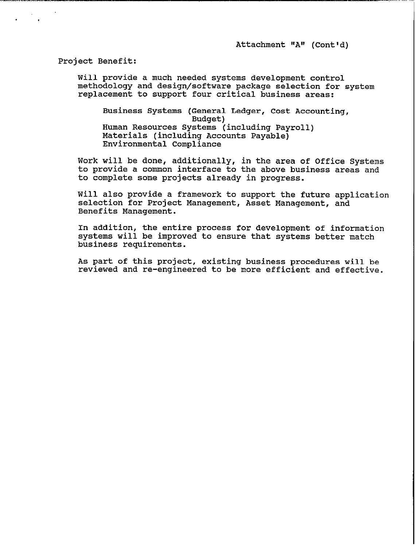Attachment "A" (Cont'd)

Project Benefit:

 $\blacksquare$ 

Will provide a much needed systems development control methodology and design/software package selection for system replacement to support four critical business areas:

Business Systems (General Ledger, Cost Accounting, Budget) Human Resources Systems (including Payroll) Materials (including Accounts Payable) Environmental Compliance

Work will be done, additionally, in the area of Office Systems to provide a common interface to the above business areas and to complete some projects already in progress.

Will also provide a framework to support the future application selection for Project Management, Asset Management, and Benefits Management.

In addition, the entire process for development of information systems will be improved to ensure that systems better match business requirements.

As part of this project, existing business procedures will be reviewed and re-engineered to be more efficient and effective.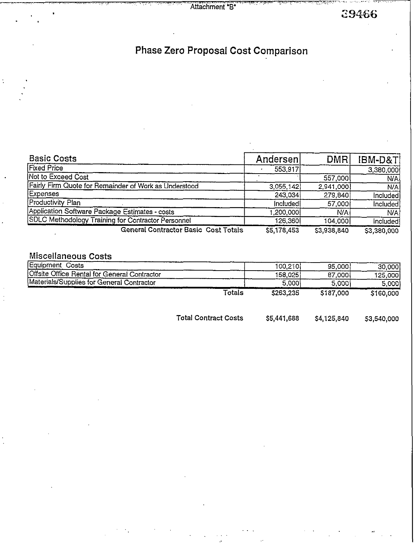Attachment "B"

39466

# Phase Zero Proposal Cost Comparison

| <b>Basic Costs</b>                                                                                                                                                                                                                                                                                                     | Andersen    | <b>DMR</b>  | IBM-D&T     |
|------------------------------------------------------------------------------------------------------------------------------------------------------------------------------------------------------------------------------------------------------------------------------------------------------------------------|-------------|-------------|-------------|
| <b>Fixed Price</b>                                                                                                                                                                                                                                                                                                     | 553,917     |             | 3,380,000   |
| Not to Exceed Cost                                                                                                                                                                                                                                                                                                     |             | 557,000     | <b>N/A</b>  |
| Fairly Firm Quote for Remainder of Work as Understood                                                                                                                                                                                                                                                                  | 3,055,142   | 2,941,000   | N/A         |
| Expenses                                                                                                                                                                                                                                                                                                               | 243,034     | 279,840     | Included    |
| Productivity Plan                                                                                                                                                                                                                                                                                                      | Included    | 57,000      | Included    |
| Application Software Package Estimates - costs                                                                                                                                                                                                                                                                         | 200,000. 1  | N/A         | N/A         |
| SDLC Methodology Training for Contractor Personnel                                                                                                                                                                                                                                                                     | 126,360     | 104,000     | Included    |
| <b>General Contractor Basic Cost Totals</b>                                                                                                                                                                                                                                                                            | \$5,178,453 | \$3,938,840 | \$3,380,000 |
|                                                                                                                                                                                                                                                                                                                        |             |             |             |
| $R_{1}$ $\frac{1}{2}$ $\frac{1}{2}$ $\frac{1}{2}$ $\frac{1}{2}$ $\frac{1}{2}$ $\frac{1}{2}$ $\frac{1}{2}$ $\frac{1}{2}$ $\frac{1}{2}$ $\frac{1}{2}$ $\frac{1}{2}$ $\frac{1}{2}$ $\frac{1}{2}$ $\frac{1}{2}$ $\frac{1}{2}$ $\frac{1}{2}$ $\frac{1}{2}$ $\frac{1}{2}$ $\frac{1}{2}$ $\frac{1}{2}$ $\frac{1}{2}$ $\frac{$ |             |             |             |

### **Miscellaneous Costs**

 $\ddot{\cdot}$ 

| Equipment Costs                              |        | 100.210   | 95,000    | 30,000    |
|----------------------------------------------|--------|-----------|-----------|-----------|
| Offsite Office Rental for General Contractor |        | 158.0251  | 87.000l   | 125.000İ  |
| Materials/Supplies for General Contractor    |        | 5,000     | 5.0001    | 5.0001    |
|                                              | Totals | \$263,235 | \$187,000 | \$160,000 |
|                                              |        |           |           |           |

Total Contract Costs \$5,441,688 \$4,125,840 \$3,540,000